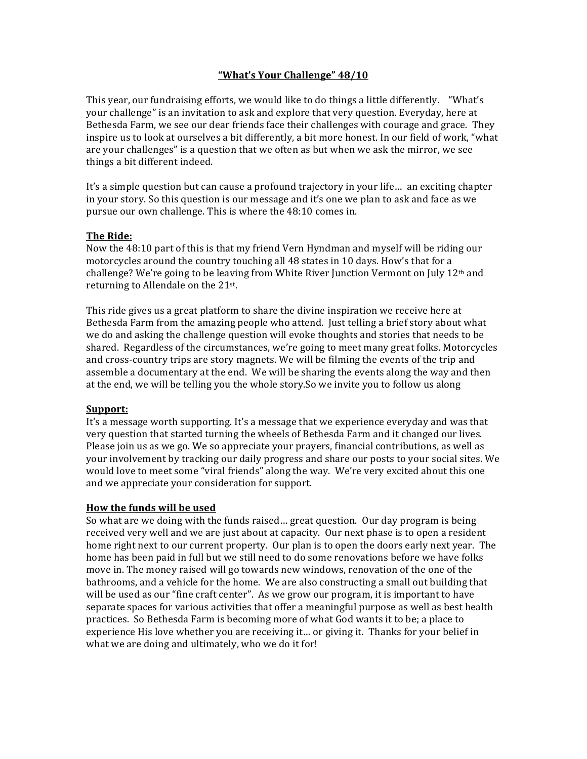# **"What's Your Challenge" 48/10**

This year, our fundraising efforts, we would like to do things a little differently. "What's your challenge" is an invitation to ask and explore that very question. Everyday, here at Bethesda Farm, we see our dear friends face their challenges with courage and grace. They inspire us to look at ourselves a bit differently, a bit more honest. In our field of work, "what are your challenges" is a question that we often as but when we ask the mirror, we see things a bit different indeed.

It's a simple question but can cause a profound trajectory in your life... an exciting chapter in your story. So this question is our message and it's one we plan to ask and face as we pursue our own challenge. This is where the 48:10 comes in.

## **The Ride:**

Now the 48:10 part of this is that my friend Vern Hyndman and myself will be riding our motorcycles around the country touching all 48 states in 10 days. How's that for a challenge? We're going to be leaving from White River Junction Vermont on July  $12<sup>th</sup>$  and returning to Allendale on the  $21^{st}$ .

This ride gives us a great platform to share the divine inspiration we receive here at Bethesda Farm from the amazing people who attend. Just telling a brief story about what we do and asking the challenge question will evoke thoughts and stories that needs to be shared. Regardless of the circumstances, we're going to meet many great folks. Motorcycles and cross-country trips are story magnets. We will be filming the events of the trip and assemble a documentary at the end. We will be sharing the events along the way and then at the end, we will be telling you the whole story. So we invite you to follow us along

## **Support:**

It's a message worth supporting. It's a message that we experience everyday and was that very question that started turning the wheels of Bethesda Farm and it changed our lives. Please join us as we go. We so appreciate your prayers, financial contributions, as well as your involvement by tracking our daily progress and share our posts to your social sites. We would love to meet some "viral friends" along the way. We're very excited about this one and we appreciate your consideration for support.

## **How the funds will be used**

So what are we doing with the funds raised... great question. Our day program is being received very well and we are just about at capacity. Our next phase is to open a resident home right next to our current property. Our plan is to open the doors early next year. The home has been paid in full but we still need to do some renovations before we have folks move in. The money raised will go towards new windows, renovation of the one of the bathrooms, and a vehicle for the home. We are also constructing a small out building that will be used as our "fine craft center". As we grow our program, it is important to have separate spaces for various activities that offer a meaningful purpose as well as best health practices. So Bethesda Farm is becoming more of what God wants it to be; a place to experience His love whether you are receiving it... or giving it. Thanks for your belief in what we are doing and ultimately, who we do it for!